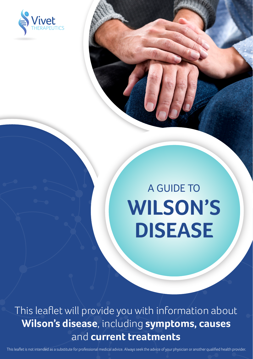

# A GUIDE TO **WILSON'S DISEASE**

This leaflet will provide you with information about **Wilson's disease**, including **symptoms, causes** and **current treatments**

This leaflet is not intended as a substitute for professional medical advice. Always seek the advice of your physician or another qualified health provider.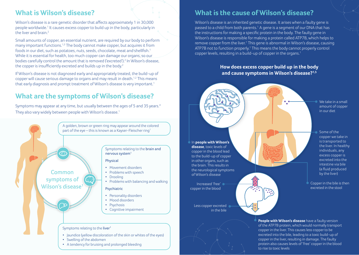## **What is Wilson's disease?**

Wilson's disease is a rare genetic disorder that affects approximately 1 in 30,000 people worldwide.<sup>1</sup> It causes excess copper to build up in the body, particularly in the liver and brain  $2$ 

Small amounts of copper, an essential nutrient, are required by our body to perform many important functions.1,3 The body cannot make copper, but acquires it from foods in our diet, such as potatoes, nuts, seeds, chocolate, meat and shellfish.1 While it is essential for health, too much copper can damage our organs, so our bodies carefully control the amount that is removed ('excreted').<sup>2</sup> In Wilson's disease, the copper is insufficiently excreted and builds up in the body.<sup>2</sup>

If Wilson's disease is not diagnosed early and appropriately treated, the build-up of copper will cause serious damage to organs and may result in death.<sup>1,2</sup> This means that early diagnosis and prompt treatment of Wilson's disease is very important.1

# **What are the symptoms of Wilson's disease?**

Symptoms may appear at any time, but usually between the ages of 5 and 35 years.<sup>4</sup> They also vary widely between people with Wilson's disease.1



### **What is the cause of Wilson's disease?**

Wilson's disease is an inherited genetic disease. It arises when a faulty gene is passed to a child from both parents.<sup>1</sup> A gene is a segment of our DNA that has the instructions for making a specific protein in the body. The faulty gene in Wilson's disease is responsible for making a protein called ATP7B, which helps to remove copper from the liver.<sup>1</sup> This gene is abnormal in Wilson's disease, causing ATP7B not to function properly.<sup>1</sup> This means the body cannot properly control copper levels, resulting in a build-up of copper in the organs.1

> **How does excess copper build up in the body and cause symptoms in Wilson's disease?1,5**



to rise to toxic levels